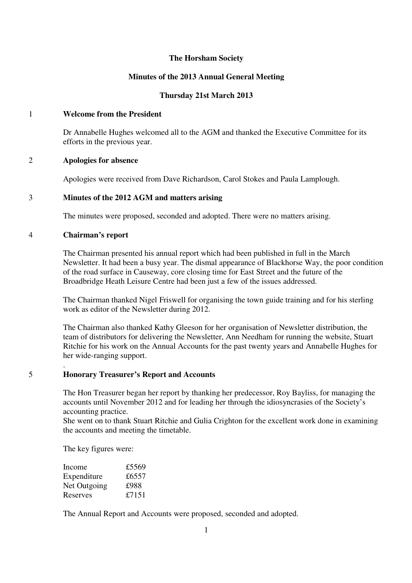# **The Horsham Society**

# **Minutes of the 2013 Annual General Meeting**

# **Thursday 21st March 2013**

# 1 **Welcome from the President**

Dr Annabelle Hughes welcomed all to the AGM and thanked the Executive Committee for its efforts in the previous year.

### 2 **Apologies for absence**

Apologies were received from Dave Richardson, Carol Stokes and Paula Lamplough.

# 3 **Minutes of the 2012 AGM and matters arising**

The minutes were proposed, seconded and adopted. There were no matters arising.

### 4 **Chairman's report**

The Chairman presented his annual report which had been published in full in the March Newsletter. It had been a busy year. The dismal appearance of Blackhorse Way, the poor condition of the road surface in Causeway, core closing time for East Street and the future of the Broadbridge Heath Leisure Centre had been just a few of the issues addressed.

The Chairman thanked Nigel Friswell for organising the town guide training and for his sterling work as editor of the Newsletter during 2012.

The Chairman also thanked Kathy Gleeson for her organisation of Newsletter distribution, the team of distributors for delivering the Newsletter, Ann Needham for running the website, Stuart Ritchie for his work on the Annual Accounts for the past twenty years and Annabelle Hughes for her wide-ranging support.

### . 5 **Honorary Treasurer's Report and Accounts**

The Hon Treasurer began her report by thanking her predecessor, Roy Bayliss, for managing the accounts until November 2012 and for leading her through the idiosyncrasies of the Society's accounting practice.

She went on to thank Stuart Ritchie and Gulia Crighton for the excellent work done in examining the accounts and meeting the timetable.

The key figures were:

| Income       | £5569 |
|--------------|-------|
| Expenditure  | £6557 |
| Net Outgoing | £988  |
| Reserves     | £7151 |

The Annual Report and Accounts were proposed, seconded and adopted.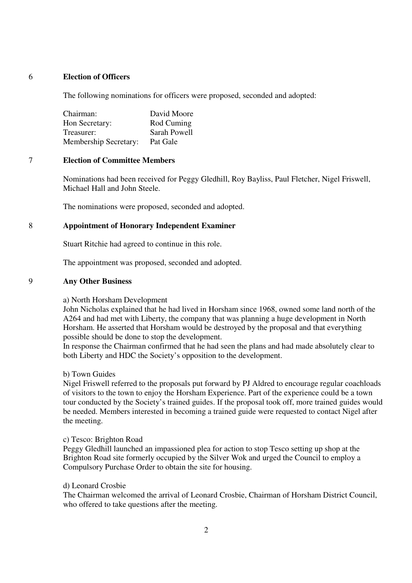# 6 **Election of Officers**

The following nominations for officers were proposed, seconded and adopted:

| Chairman:                    | David Moore  |
|------------------------------|--------------|
| Hon Secretary:               | Rod Cuming   |
| Treasurer:                   | Sarah Powell |
| <b>Membership Secretary:</b> | Pat Gale     |

## 7 **Election of Committee Members**

Nominations had been received for Peggy Gledhill, Roy Bayliss, Paul Fletcher, Nigel Friswell, Michael Hall and John Steele.

The nominations were proposed, seconded and adopted.

## 8 **Appointment of Honorary Independent Examiner**

Stuart Ritchie had agreed to continue in this role.

The appointment was proposed, seconded and adopted.

### 9 **Any Other Business**

# a) North Horsham Development

John Nicholas explained that he had lived in Horsham since 1968, owned some land north of the A264 and had met with Liberty, the company that was planning a huge development in North Horsham. He asserted that Horsham would be destroyed by the proposal and that everything possible should be done to stop the development.

In response the Chairman confirmed that he had seen the plans and had made absolutely clear to both Liberty and HDC the Society's opposition to the development.

b) Town Guides

Nigel Friswell referred to the proposals put forward by PJ Aldred to encourage regular coachloads of visitors to the town to enjoy the Horsham Experience. Part of the experience could be a town tour conducted by the Society's trained guides. If the proposal took off, more trained guides would be needed. Members interested in becoming a trained guide were requested to contact Nigel after the meeting.

### c) Tesco: Brighton Road

Peggy Gledhill launched an impassioned plea for action to stop Tesco setting up shop at the Brighton Road site formerly occupied by the Silver Wok and urged the Council to employ a Compulsory Purchase Order to obtain the site for housing.

### d) Leonard Crosbie

The Chairman welcomed the arrival of Leonard Crosbie, Chairman of Horsham District Council, who offered to take questions after the meeting.